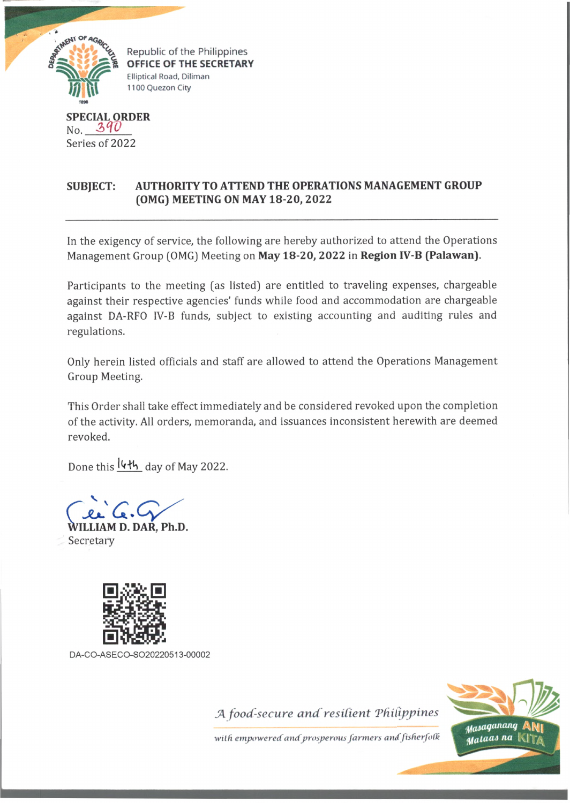

**OFFICE OF THE SECRETARY Elliptical Road, Diliman 1100 Quezon City**

## **SPECIAL ORDER** No.  $390$ Series of 2022

## **SUBJECT: AUTHORITY TO ATTEND THE OPERATIONS MANAGEMENT GROUP (OMG) MEETING ON MAY 18-20, 2022**

In the exigency of service, the following are hereby authorized to attend the Operations Management Group (OMG) Meeting on **May 18-20, 2022** in **Region IV-B (Palawan).**

Participants to the meeting (as listed) are entitled to traveling expenses, chargeable against their respective agencies' funds while food and accommodation are chargeable against DA-RFO IV-B funds, subject to existing accounting and auditing rules and regulations.

Only herein listed officials and staff are allowed to attend the Operations Management Group Meeting.

This Order shall take effect immediately and be considered revoked upon the completion of the activity. All orders, memoranda, and issuances inconsistent herewith are deemed revoked.

Done this leth day of May 2022.

**WILLIAM D. DAR, Ph.D.** Secretary



DA-CO-ASECO-SO20220513-00002

*JA food-secure and resilient Tfiil*



with empowered and prosperous farmers and fisherfolk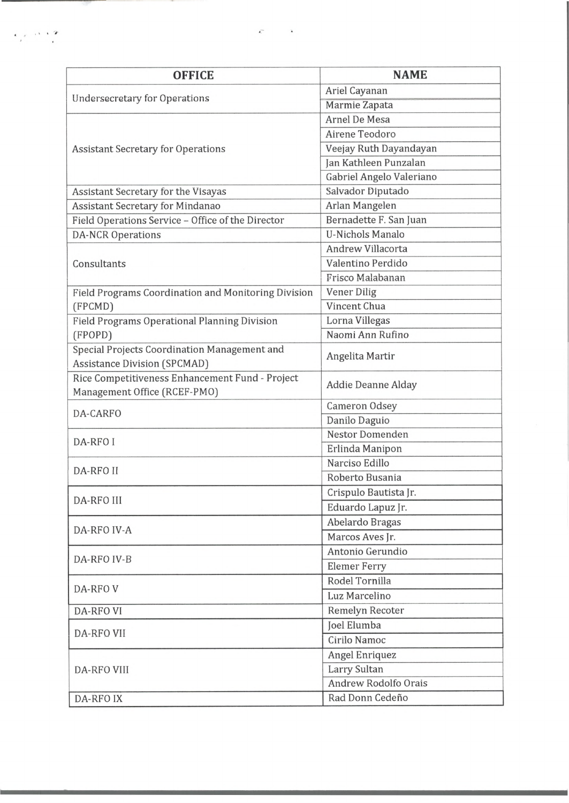| <b>OFFICE</b>                                                                       | <b>NAME</b>                 |
|-------------------------------------------------------------------------------------|-----------------------------|
| <b>Undersecretary for Operations</b>                                                | Ariel Cayanan               |
|                                                                                     | Marmie Zapata               |
| <b>Assistant Secretary for Operations</b>                                           | Arnel De Mesa               |
|                                                                                     | Airene Teodoro              |
|                                                                                     | Veejay Ruth Dayandayan      |
|                                                                                     | Jan Kathleen Punzalan       |
|                                                                                     | Gabriel Angelo Valeriano    |
| Assistant Secretary for the Visayas                                                 | Salvador Diputado           |
| <b>Assistant Secretary for Mindanao</b>                                             | Arlan Mangelen              |
| Field Operations Service - Office of the Director                                   | Bernadette F. San Juan      |
| <b>DA-NCR Operations</b>                                                            | <b>U-Nichols Manalo</b>     |
| Consultants                                                                         | Andrew Villacorta           |
|                                                                                     | Valentino Perdido           |
|                                                                                     | Frisco Malabanan            |
| Field Programs Coordination and Monitoring Division                                 | <b>Vener Dilig</b>          |
| (FPCMD)                                                                             | Vincent Chua                |
| Field Programs Operational Planning Division                                        | Lorna Villegas              |
| (FPOPD)                                                                             | Naomi Ann Rufino            |
| Special Projects Coordination Management and<br><b>Assistance Division (SPCMAD)</b> | Angelita Martir             |
| Rice Competitiveness Enhancement Fund - Project<br>Management Office (RCEF-PMO)     | Addie Deanne Alday          |
| DA-CARFO                                                                            | Cameron Odsey               |
|                                                                                     | Danilo Daguio               |
| DA-RFO I                                                                            | Nestor Domenden             |
|                                                                                     | Erlinda Manipon             |
| <b>DA-RFO II</b>                                                                    | Narciso Edillo              |
|                                                                                     | Roberto Busania             |
| <b>DA-RFO III</b>                                                                   | Crispulo Bautista Jr.       |
|                                                                                     | Eduardo Lapuz Jr.           |
| DA-RFO IV-A                                                                         | Abelardo Bragas             |
|                                                                                     | Marcos Aves Jr.             |
| DA-RFO IV-B                                                                         | Antonio Gerundio            |
|                                                                                     | <b>Elemer Ferry</b>         |
| DA-RFOV                                                                             | Rodel Tornilla              |
|                                                                                     | Luz Marcelino               |
| <b>DA-RFO VI</b>                                                                    | Remelyn Recoter             |
| DA-RFO VII                                                                          | Joel Elumba                 |
|                                                                                     | Cirilo Namoc                |
| <b>DA-RFO VIII</b>                                                                  | Angel Enriquez              |
|                                                                                     | Larry Sultan                |
|                                                                                     | <b>Andrew Rodolfo Orais</b> |
| <b>DA-RFOIX</b>                                                                     | Rad Donn Cedeño             |

 $\bar{C}$